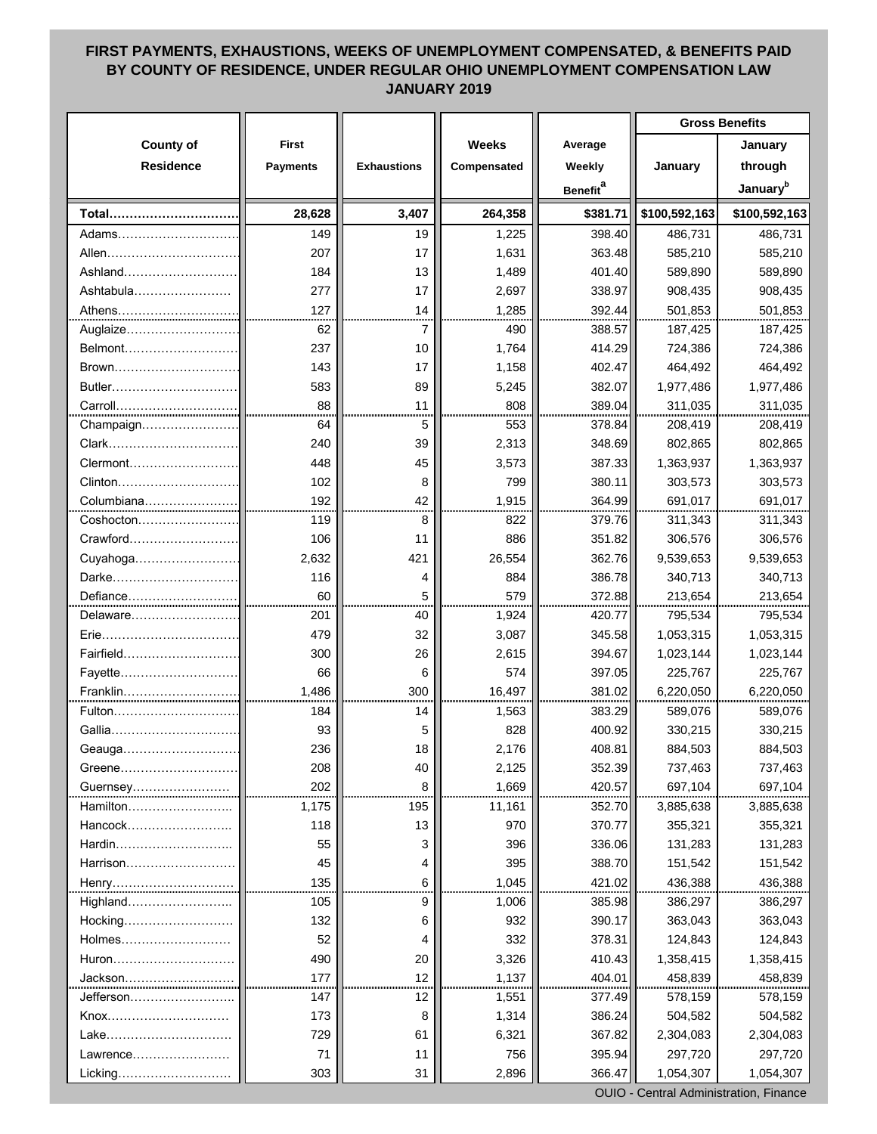## **FIRST PAYMENTS, EXHAUSTIONS, WEEKS OF UNEMPLOYMENT COMPENSATED, & BENEFITS PAID BY COUNTY OF RESIDENCE, UNDER REGULAR OHIO UNEMPLOYMENT COMPENSATION LAW JANUARY 2019**

|                  |                 |                    |              |                             | <b>Gross Benefits</b> |                      |
|------------------|-----------------|--------------------|--------------|-----------------------------|-----------------------|----------------------|
| <b>County of</b> | <b>First</b>    |                    | <b>Weeks</b> | Average                     |                       | January              |
| <b>Residence</b> | <b>Payments</b> | <b>Exhaustions</b> | Compensated  | Weekly                      | January               | through              |
|                  |                 |                    |              | <b>Benefit</b> <sup>a</sup> |                       | January <sup>b</sup> |
| Total            | 28,628          | 3,407              | 264,358      | \$381.71                    | \$100,592,163         | \$100,592,163        |
| Adams            | 149             | 19                 | 1,225        | 398.40                      | 486,731               | 486,731              |
| Allen            | 207             | 17                 | 1,631        | 363.48                      | 585,210               | 585,210              |
| Ashland          | 184             | 13                 | 1,489        | 401.40                      | 589,890               | 589,890              |
| Ashtabula        | 277             | 17                 | 2,697        | 338.97                      | 908,435               | 908,435              |
|                  | 127             | 14                 | 1,285        | 392.44                      | 501,853               | 501,853              |
| Auglaize         | 62              | 7                  | 490          | 388.57                      | 187,425               | 187,425              |
| Belmont          | 237             | 10                 | 1,764        | 414.29                      | 724,386               | 724,386              |
| Brown            | 143             | 17                 | 1,158        | 402.47                      | 464,492               | 464,492              |
| Butler           | 583             | 89                 | 5,245        | 382.07                      | 1,977,486             | 1,977,486            |
|                  | 88              | 11                 | 808          | 389.04                      | 311,035               | 311,035              |
| Champaign        | 64              | 5                  | 553          | 378.84                      | 208,419               | 208,419              |
| Clark            | 240             | 39                 | 2,313        | 348.69                      | 802,865               | 802,865              |
| Clermont         | 448             | 45                 | 3,573        | 387.33                      | 1,363,937             | 1,363,937            |
| Clinton          | 102             | 8                  | 799          | 380.11                      | 303,573               | 303,573              |
| Columbiana       | 192             | 42                 | 1,915        | 364.99                      | 691,017               | 691,017              |
| Coshocton        | 119             | 8                  | 822          | 379.76                      | 311,343               | 311,343              |
| Crawford         | 106             | 11                 | 886          | 351.82                      | 306,576               | 306,576              |
|                  | 2,632           | 421                | 26,554       | 362.76                      | 9,539,653             | 9,539,653            |
| Darke            | 116             | 4                  | 884          | 386.78                      | 340,713               | 340,713              |
| Defiance         | 60              | 5                  | 579          | 372.88                      | 213,654               | 213,654              |
| Delaware         | 201             | 40                 | 1,924        | 420.77                      | 795,534               | 795,534              |
| Erie             | 479             | 32                 | 3,087        | 345.58                      | 1,053,315             | 1,053,315            |
| Fairfield        | 300             | 26                 | 2,615        | 394.67                      | 1,023,144             | 1,023,144            |
| Fayette          | 66              | 6                  | 574          | 397.05                      | 225,767               | 225,767              |
| Franklin.        | 1,486           | 300                | 16,497       | 381.02                      | 6,220,050             | 6,220,050            |
| Fulton           | 184             | 14                 | 1,563        | 383.29                      | 589,076               | 589,076              |
| Gallia           | 93              | 5                  | 828          | 400.92                      | 330,215               | 330,215              |
| Geauga           | 236             | 18                 | 2,176        | 408.81                      | 884,503               | 884,503              |
| Greene           | 208             | 40                 | 2,125        | 352.39                      | 737,463               | 737,463              |
| Guernsey         | 202             | 8                  | 1,669        | 420.57                      | 697,104               | 697,104              |
| Hamilton         | 1,175           | 195                | 11,161       | 352.70                      | 3,885,638             | 3,885,638            |
| Hancock          | 118             | 13                 | 970          | 370.77                      | 355,321               | 355,321              |
| Hardin           | 55              | 3                  | 396          | 336.06                      | 131,283               | 131,283              |
| Harrison         | 45              | 4                  | 395          | 388.70                      | 151,542               | 151,542              |
|                  | 135             | 6                  | 1,045        | 421.02                      | 436,388               | 436,388              |
| Highland         | 105             | 9                  | 1,006        | 385.98                      | 386,297               | 386,297              |
| Hocking          | 132             | 6                  | 932          | 390.17                      | 363,043               | 363,043              |
| Holmes           | 52              | 4                  | 332          | 378.31                      | 124,843               | 124,843              |
| Huron            | 490             | 20                 | 3,326        | 410.43                      | 1,358,415             | 1,358,415            |
| Jackson          | 177             | 12                 | 1,137        | 404.01                      | 458,839               | 458,839              |
| Jefferson        | 147             | 12                 | 1,551        | 377.49                      | 578,159               | 578,159              |
| Knox             | 173             | 8                  | 1,314        | 386.24                      | 504,582               | 504,582              |
| Lake             | 729             | 61                 | 6,321        | 367.82                      | 2,304,083             | 2,304,083            |
| Lawrence         | 71              | 11                 | 756          | 395.94                      | 297,720               | 297,720              |
| Licking          | 303             | 31                 | 2,896        | 366.47                      | 1,054,307             | 1,054,307            |

OUIO - Central Administration, Finance